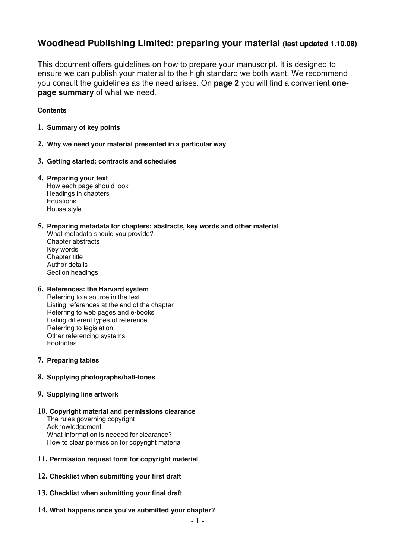## **Woodhead Publishing Limited: preparing your material (last updated 1.10.08)**

This document offers guidelines on how to prepare your manuscript. It is designed to ensure we can publish your material to the high standard we both want. We recommend you consult the guidelines as the need arises. On **page 2** you will find a convenient **onepage summary** of what we need.

**Contents** 

- **1. [Summary of key points](#page-1-0)**
- **2. [Why we need your material presented in a particular way](#page-2-0)**
- **3. [Getting started: contracts and schedules](#page-3-0)**
- **4. Preparing your text**   [How each page should look](#page-4-0)  Headings in chapters **Equations** House style
- **5. [Preparing metadata for chapters: abstracts, key words and other material](#page-8-0)**
	- What metadata should you provide? Chapter abstracts Key words Chapter title Author details Section headings

#### **6. References: the Harvard system**

Referring to a source in the text [Listing references at the end of the chapter](#page-12-0)  Referring to web pages and e-books Listing different types of reference Referring to legislation Other referencing systems Footnotes

**7. [Preparing tables](#page-15-0)**

#### **8. [Supplying photographs/half-tones](#page-18-0)**

- **9. [Supplying line artwork](#page-18-0)**
- **10. [Copyright material and permissions clearance](#page-20-0)** 
	- The rules governing copyright Acknowledgement What information is needed for clearance? How to clear permission for copyright material
- **11. [Permission request form for copyright material](#page-22-0)**
- **12. [Checklist when submitting your first draft](#page-23-0)**
- **13. [Checklist when submitting your final draft](#page-24-0)**
- **14. [What happens once you've submitted your chapter?](#page-25-0)**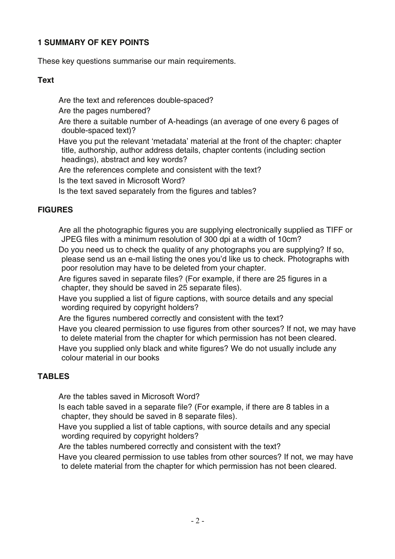### <span id="page-1-0"></span>**1 SUMMARY OF KEY POINTS**

These key questions summarise our main requirements.

### **Text**

Are the text and references double-spaced?

Are the pages numbered?

 Are there a suitable number of A-headings (an average of one every 6 pages of double-spaced text)?

 Have you put the relevant 'metadata' material at the front of the chapter: chapter title, authorship, author address details, chapter contents (including section headings), abstract and key words?

Are the references complete and consistent with the text?

Is the text saved in Microsoft Word?

Is the text saved separately from the figures and tables?

## **FIGURES**

 Are all the photographic figures you are supplying electronically supplied as TIFF or JPEG files with a minimum resolution of 300 dpi at a width of 10cm?

 Do you need us to check the quality of any photographs you are supplying? If so, please send us an e-mail listing the ones you'd like us to check. Photographs with poor resolution may have to be deleted from your chapter.

 Are figures saved in separate files? (For example, if there are 25 figures in a chapter, they should be saved in 25 separate files).

 Have you supplied a list of figure captions, with source details and any special wording required by copyright holders?

Are the figures numbered correctly and consistent with the text?

 Have you cleared permission to use figures from other sources? If not, we may have to delete material from the chapter for which permission has not been cleared.

 Have you supplied only black and white figures? We do not usually include any colour material in our books

## **TABLES**

Are the tables saved in Microsoft Word?

 Is each table saved in a separate file? (For example, if there are 8 tables in a chapter, they should be saved in 8 separate files).

 Have you supplied a list of table captions, with source details and any special wording required by copyright holders?

Are the tables numbered correctly and consistent with the text?

 Have you cleared permission to use tables from other sources? If not, we may have to delete material from the chapter for which permission has not been cleared.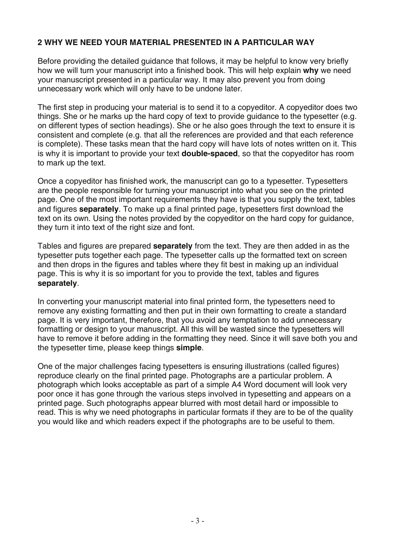## <span id="page-2-0"></span>**2 WHY WE NEED YOUR MATERIAL PRESENTED IN A PARTICULAR WAY**

Before providing the detailed guidance that follows, it may be helpful to know very briefly how we will turn your manuscript into a finished book. This will help explain **why** we need your manuscript presented in a particular way. It may also prevent you from doing unnecessary work which will only have to be undone later.

The first step in producing your material is to send it to a copyeditor. A copyeditor does two things. She or he marks up the hard copy of text to provide guidance to the typesetter (e.g. on different types of section headings). She or he also goes through the text to ensure it is consistent and complete (e.g. that all the references are provided and that each reference is complete). These tasks mean that the hard copy will have lots of notes written on it. This is why it is important to provide your text **double-spaced**, so that the copyeditor has room to mark up the text.

Once a copyeditor has finished work, the manuscript can go to a typesetter. Typesetters are the people responsible for turning your manuscript into what you see on the printed page. One of the most important requirements they have is that you supply the text, tables and figures **separately**. To make up a final printed page, typesetters first download the text on its own. Using the notes provided by the copyeditor on the hard copy for guidance, they turn it into text of the right size and font.

Tables and figures are prepared **separately** from the text. They are then added in as the typesetter puts together each page. The typesetter calls up the formatted text on screen and then drops in the figures and tables where they fit best in making up an individual page. This is why it is so important for you to provide the text, tables and figures **separately**.

In converting your manuscript material into final printed form, the typesetters need to remove any existing formatting and then put in their own formatting to create a standard page. It is very important, therefore, that you avoid any temptation to add unnecessary formatting or design to your manuscript. All this will be wasted since the typesetters will have to remove it before adding in the formatting they need. Since it will save both you and the typesetter time, please keep things **simple**.

One of the major challenges facing typesetters is ensuring illustrations (called figures) reproduce clearly on the final printed page. Photographs are a particular problem. A photograph which looks acceptable as part of a simple A4 Word document will look very poor once it has gone through the various steps involved in typesetting and appears on a printed page. Such photographs appear blurred with most detail hard or impossible to read. This is why we need photographs in particular formats if they are to be of the quality you would like and which readers expect if the photographs are to be useful to them.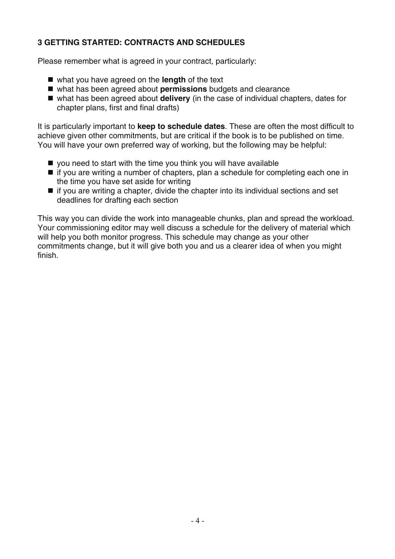## <span id="page-3-0"></span>**3 GETTING STARTED: CONTRACTS AND SCHEDULES**

Please remember what is agreed in your contract, particularly:

- what you have agreed on the **length** of the text
- what has been agreed about **permissions** budgets and clearance
- what has been agreed about **delivery** (in the case of individual chapters, dates for chapter plans, first and final drafts)

It is particularly important to **keep to schedule dates**. These are often the most difficult to achieve given other commitments, but are critical if the book is to be published on time. You will have your own preferred way of working, but the following may be helpful:

- you need to start with the time you think you will have available
- $\blacksquare$  if you are writing a number of chapters, plan a schedule for completing each one in the time you have set aside for writing
- $\blacksquare$  if you are writing a chapter, divide the chapter into its individual sections and set deadlines for drafting each section

This way you can divide the work into manageable chunks, plan and spread the workload. Your commissioning editor may well discuss a schedule for the delivery of material which will help you both monitor progress. This schedule may change as your other commitments change, but it will give both you and us a clearer idea of when you might finish.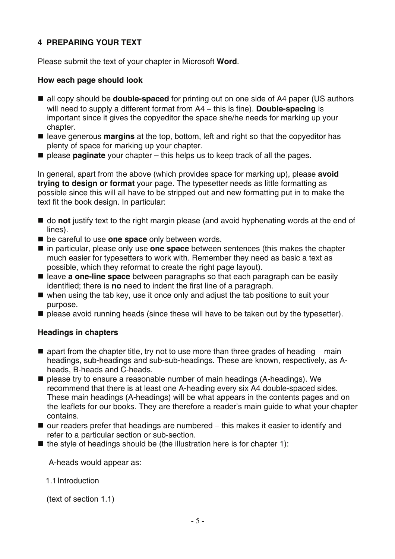## <span id="page-4-0"></span>**4 PREPARING YOUR TEXT**

Please submit the text of your chapter in Microsoft **Word**.

#### **How each page should look**

- all copy should be **double-spaced** for printing out on one side of A4 paper (US authors will need to supply a different format from A4 − this is fine). **Double-spacing** is important since it gives the copyeditor the space she/he needs for marking up your chapter.
- leave generous **margins** at the top, bottom, left and right so that the copyeditor has plenty of space for marking up your chapter.
- please **paginate** your chapter this helps us to keep track of all the pages.

In general, apart from the above (which provides space for marking up), please **avoid trying to design or format** your page. The typesetter needs as little formatting as possible since this will all have to be stripped out and new formatting put in to make the text fit the book design. In particular:

- do **not** justify text to the right margin please (and avoid hyphenating words at the end of lines).
- be careful to use **one space** only between words.
- in particular, please only use **one space** between sentences (this makes the chapter much easier for typesetters to work with. Remember they need as basic a text as possible, which they reformat to create the right page layout).
- leave **a one-line space** between paragraphs so that each paragraph can be easily identified; there is **no** need to indent the first line of a paragraph.
- $\blacksquare$  when using the tab key, use it once only and adjust the tab positions to suit your purpose.
- **P** please avoid running heads (since these will have to be taken out by the typesetter).

#### **Headings in chapters**

- apart from the chapter title, try not to use more than three grades of heading main headings, sub-headings and sub-sub-headings. These are known, respectively, as Aheads, B-heads and C-heads.
- please try to ensure a reasonable number of main headings (A-headings). We recommend that there is at least one A-heading every six A4 double-spaced sides. These main headings (A-headings) will be what appears in the contents pages and on the leaflets for our books. They are therefore a reader's main guide to what your chapter contains.
- our readers prefer that headings are numbered this makes it easier to identify and refer to a particular section or sub-section.
- $\blacksquare$  the style of headings should be (the illustration here is for chapter 1):

A-heads would appear as:

1.1Introduction

(text of section 1.1)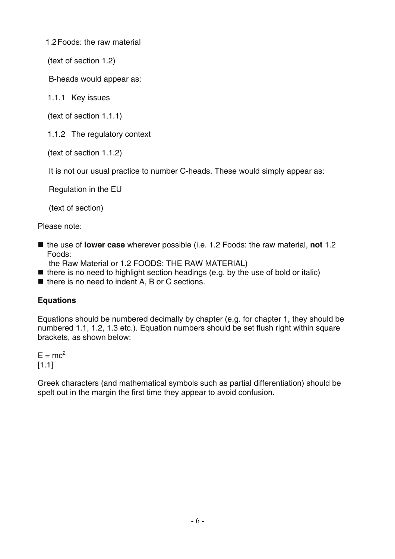1.2Foods: the raw material

(text of section 1.2)

B-heads would appear as:

1.1.1 Key issues

(text of section 1.1.1)

1.1.2 The regulatory context

(text of section 1.1.2)

It is not our usual practice to number C-heads. These would simply appear as:

Regulation in the EU

(text of section)

Please note:

■ the use of **lower case** wherever possible (i.e. 1.2 Foods: the raw material, not 1.2 Foods:

the Raw Material or 1.2 FOODS: THE RAW MATERIAL)

- $\blacksquare$  there is no need to highlight section headings (e.g. by the use of bold or italic)
- $\blacksquare$  there is no need to indent A, B or C sections.

# **Equations**

Equations should be numbered decimally by chapter (e.g. for chapter 1, they should be numbered 1.1, 1.2, 1.3 etc.). Equation numbers should be set flush right within square brackets, as shown below:

 $E = mc^2$ [1.1]

Greek characters (and mathematical symbols such as partial differentiation) should be spelt out in the margin the first time they appear to avoid confusion.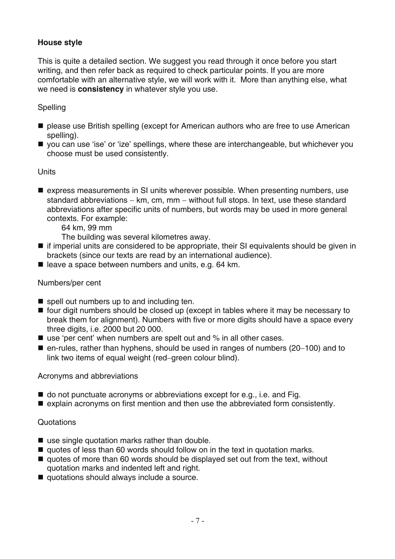## **House style**

This is quite a detailed section. We suggest you read through it once before you start writing, and then refer back as required to check particular points. If you are more comfortable with an alternative style, we will work with it. More than anything else, what we need is **consistency** in whatever style you use.

## Spelling

- please use British spelling (except for American authors who are free to use American spelling).
- you can use 'ise' or 'ize' spellings, where these are interchangeable, but whichever you choose must be used consistently.

#### **Units**

- **E** express measurements in SI units wherever possible. When presenting numbers, use standard abbreviations – km, cm, mm – without full stops. In text, use these standard abbreviations after specific units of numbers, but words may be used in more general contexts. For example:
	- 64 km, 99 mm

The building was several kilometres away.

- if imperial units are considered to be appropriate, their SI equivalents should be given in brackets (since our texts are read by an international audience).
- leave a space between numbers and units, e.g. 64 km.

#### Numbers/per cent

- spell out numbers up to and including ten.
- four digit numbers should be closed up (except in tables where it may be necessary to break them for alignment). Numbers with five or more digits should have a space every three digits, i.e. 2000 but 20 000.
- use 'per cent' when numbers are spelt out and % in all other cases.
- en-rules, rather than hyphens, should be used in ranges of numbers (20−100) and to link two items of equal weight (red−green colour blind).

#### Acronyms and abbreviations

- $\blacksquare$  do not punctuate acronyms or abbreviations except for e.g., i.e. and Fig.
- $\blacksquare$  explain acronyms on first mention and then use the abbreviated form consistently.

#### Quotations

- use single quotation marks rather than double.
- quotes of less than 60 words should follow on in the text in quotation marks.
- quotes of more than 60 words should be displayed set out from the text, without quotation marks and indented left and right.
- quotations should always include a source.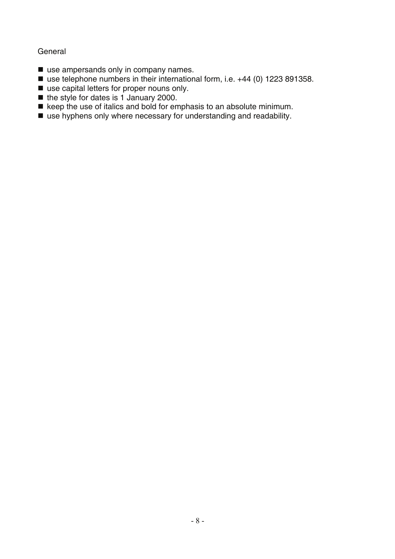#### **General**

- use ampersands only in company names.
- use telephone numbers in their international form, i.e. +44 (0) 1223 891358.
- use capital letters for proper nouns only.
- $\blacksquare$  the style for dates is 1 January 2000.
- $\bullet$  keep the use of italics and bold for emphasis to an absolute minimum.
- use hyphens only where necessary for understanding and readability.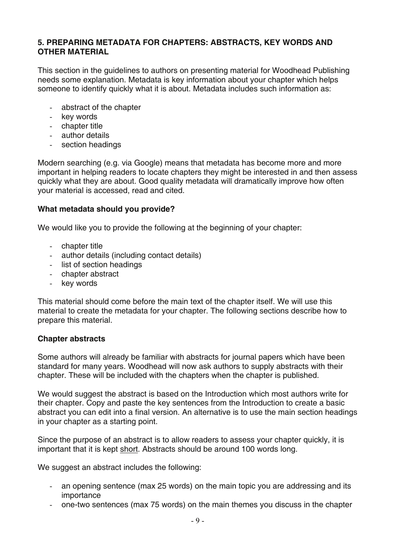### <span id="page-8-0"></span>**5. PREPARING METADATA FOR CHAPTERS: ABSTRACTS, KEY WORDS AND OTHER MATERIAL**

This section in the guidelines to authors on presenting material for Woodhead Publishing needs some explanation. Metadata is key information about your chapter which helps someone to identify quickly what it is about. Metadata includes such information as:

- abstract of the chapter
- key words
- chapter title
- author details
- section headings

Modern searching (e.g. via Google) means that metadata has become more and more important in helping readers to locate chapters they might be interested in and then assess quickly what they are about. Good quality metadata will dramatically improve how often your material is accessed, read and cited.

#### **What metadata should you provide?**

We would like you to provide the following at the beginning of your chapter:

- chapter title
- author details (including contact details)
- list of section headings
- chapter abstract
- key words

This material should come before the main text of the chapter itself. We will use this material to create the metadata for your chapter. The following sections describe how to prepare this material.

#### **Chapter abstracts**

Some authors will already be familiar with abstracts for journal papers which have been standard for many years. Woodhead will now ask authors to supply abstracts with their chapter. These will be included with the chapters when the chapter is published.

We would suggest the abstract is based on the Introduction which most authors write for their chapter. Copy and paste the key sentences from the Introduction to create a basic abstract you can edit into a final version. An alternative is to use the main section headings in your chapter as a starting point.

Since the purpose of an abstract is to allow readers to assess your chapter quickly, it is important that it is kept short. Abstracts should be around 100 words long.

We suggest an abstract includes the following:

- an opening sentence (max 25 words) on the main topic you are addressing and its importance
- one-two sentences (max 75 words) on the main themes you discuss in the chapter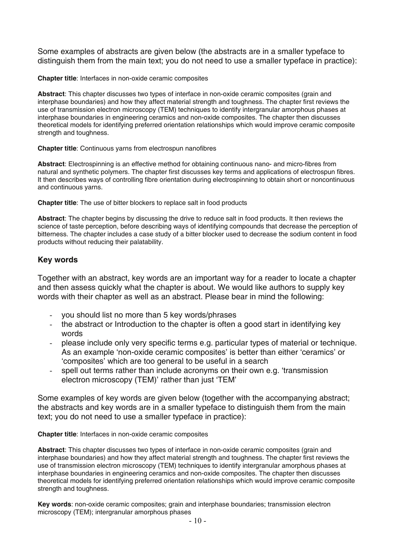Some examples of abstracts are given below (the abstracts are in a smaller typeface to distinguish them from the main text; you do not need to use a smaller typeface in practice):

#### **Chapter title**: Interfaces in non-oxide ceramic composites

**Abstract**: This chapter discusses two types of interface in non-oxide ceramic composites (grain and interphase boundaries) and how they affect material strength and toughness. The chapter first reviews the use of transmission electron microscopy (TEM) techniques to identify intergranular amorphous phases at interphase boundaries in engineering ceramics and non-oxide composites. The chapter then discusses theoretical models for identifying preferred orientation relationships which would improve ceramic composite strength and toughness.

#### **Chapter title**: Continuous yarns from electrospun nanofibres

**Abstract**: Electrospinning is an effective method for obtaining continuous nano- and micro-fibres from natural and synthetic polymers. The chapter first discusses key terms and applications of electrospun fibres. It then describes ways of controlling fibre orientation during electrospinning to obtain short or noncontinuous and continuous yarns.

**Chapter title**: The use of bitter blockers to replace salt in food products

**Abstract**: The chapter begins by discussing the drive to reduce salt in food products. It then reviews the science of taste perception, before describing ways of identifying compounds that decrease the perception of bitterness. The chapter includes a case study of a bitter blocker used to decrease the sodium content in food products without reducing their palatability.

#### **Key words**

Together with an abstract, key words are an important way for a reader to locate a chapter and then assess quickly what the chapter is about. We would like authors to supply key words with their chapter as well as an abstract. Please bear in mind the following:

- you should list no more than 5 key words/phrases
- the abstract or Introduction to the chapter is often a good start in identifying key words
- please include only very specific terms e.g. particular types of material or technique. As an example 'non-oxide ceramic composites' is better than either 'ceramics' or 'composites' which are too general to be useful in a search
- spell out terms rather than include acronyms on their own e.g. 'transmission electron microscopy (TEM)' rather than just 'TEM'

Some examples of key words are given below (together with the accompanying abstract; the abstracts and key words are in a smaller typeface to distinguish them from the main text; you do not need to use a smaller typeface in practice):

**Chapter title**: Interfaces in non-oxide ceramic composites

**Abstract**: This chapter discusses two types of interface in non-oxide ceramic composites (grain and interphase boundaries) and how they affect material strength and toughness. The chapter first reviews the use of transmission electron microscopy (TEM) techniques to identify intergranular amorphous phases at interphase boundaries in engineering ceramics and non-oxide composites. The chapter then discusses theoretical models for identifying preferred orientation relationships which would improve ceramic composite strength and toughness.

**Key words**: non-oxide ceramic composites; grain and interphase boundaries; transmission electron microscopy (TEM); intergranular amorphous phases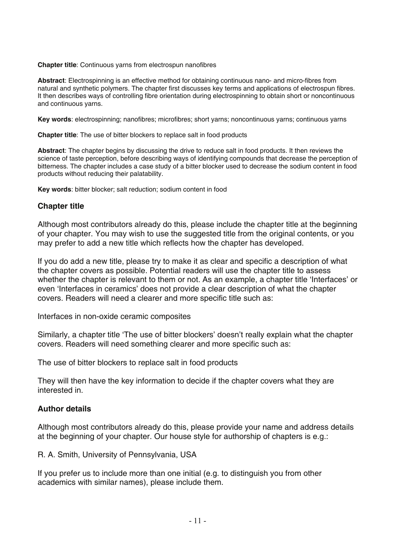**Chapter title**: Continuous yarns from electrospun nanofibres

**Abstract**: Electrospinning is an effective method for obtaining continuous nano- and micro-fibres from natural and synthetic polymers. The chapter first discusses key terms and applications of electrospun fibres. It then describes ways of controlling fibre orientation during electrospinning to obtain short or noncontinuous and continuous yarns.

**Key words**: electrospinning; nanofibres; microfibres; short yarns; noncontinuous yarns; continuous yarns

**Chapter title**: The use of bitter blockers to replace salt in food products

**Abstract**: The chapter begins by discussing the drive to reduce salt in food products. It then reviews the science of taste perception, before describing ways of identifying compounds that decrease the perception of bitterness. The chapter includes a case study of a bitter blocker used to decrease the sodium content in food products without reducing their palatability.

**Key words**: bitter blocker; salt reduction; sodium content in food

#### **Chapter title**

Although most contributors already do this, please include the chapter title at the beginning of your chapter. You may wish to use the suggested title from the original contents, or you may prefer to add a new title which reflects how the chapter has developed.

If you do add a new title, please try to make it as clear and specific a description of what the chapter covers as possible. Potential readers will use the chapter title to assess whether the chapter is relevant to them or not. As an example, a chapter title 'Interfaces' or even 'Interfaces in ceramics' does not provide a clear description of what the chapter covers. Readers will need a clearer and more specific title such as:

Interfaces in non-oxide ceramic composites

Similarly, a chapter title 'The use of bitter blockers' doesn't really explain what the chapter covers. Readers will need something clearer and more specific such as:

The use of bitter blockers to replace salt in food products

They will then have the key information to decide if the chapter covers what they are interested in.

#### **Author details**

Although most contributors already do this, please provide your name and address details at the beginning of your chapter. Our house style for authorship of chapters is e.g.:

R. A. Smith, University of Pennsylvania, USA

If you prefer us to include more than one initial (e.g. to distinguish you from other academics with similar names), please include them.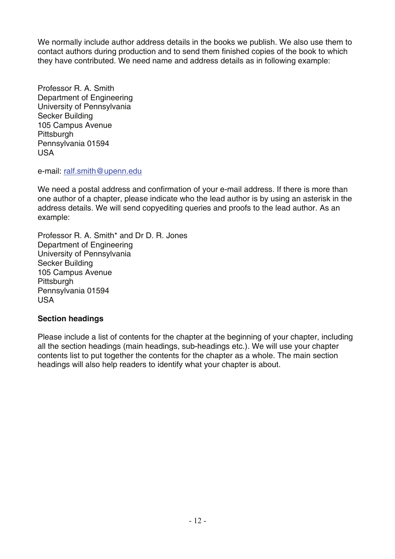We normally include author address details in the books we publish. We also use them to contact authors during production and to send them finished copies of the book to which they have contributed. We need name and address details as in following example:

Professor R. A. Smith Department of Engineering University of Pennsylvania Secker Building 105 Campus Avenue **Pittsburgh** Pennsylvania 01594 USA

e-mail: ralf.smith@upenn.edu

We need a postal address and confirmation of your e-mail address. If there is more than one author of a chapter, please indicate who the lead author is by using an asterisk in the address details. We will send copyediting queries and proofs to the lead author. As an example:

Professor R. A. Smith\* and Dr D. R. Jones Department of Engineering University of Pennsylvania Secker Building 105 Campus Avenue **Pittsburgh** Pennsylvania 01594 USA

### **Section headings**

Please include a list of contents for the chapter at the beginning of your chapter, including all the section headings (main headings, sub-headings etc.). We will use your chapter contents list to put together the contents for the chapter as a whole. The main section headings will also help readers to identify what your chapter is about.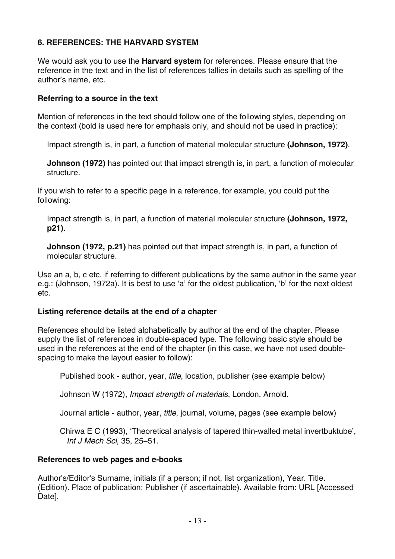## <span id="page-12-0"></span>**6. REFERENCES: THE HARVARD SYSTEM**

We would ask you to use the **Harvard system** for references. Please ensure that the reference in the text and in the list of references tallies in details such as spelling of the author's name, etc.

#### **Referring to a source in the text**

Mention of references in the text should follow one of the following styles, depending on the context (bold is used here for emphasis only, and should not be used in practice):

Impact strength is, in part, a function of material molecular structure **(Johnson, 1972)**.

**Johnson (1972)** has pointed out that impact strength is, in part, a function of molecular structure.

If you wish to refer to a specific page in a reference, for example, you could put the following:

Impact strength is, in part, a function of material molecular structure **(Johnson, 1972, p21)**.

**Johnson (1972, p.21)** has pointed out that impact strength is, in part, a function of molecular structure.

Use an a, b, c etc. if referring to different publications by the same author in the same year e.g.: (Johnson, 1972a). It is best to use 'a' for the oldest publication, 'b' for the next oldest etc.

### **Listing reference details at the end of a chapter**

References should be listed alphabetically by author at the end of the chapter. Please supply the list of references in double-spaced type. The following basic style should be used in the references at the end of the chapter (in this case, we have not used doublespacing to make the layout easier to follow):

Published book - author, year, *title*, location, publisher (see example below)

Johnson W (1972), *Impact strength of materials*, London, Arnold.

Journal article - author, year, *title*, journal, volume, pages (see example below)

 Chirwa E C (1993), 'Theoretical analysis of tapered thin-walled metal invertbuktube', *Int J Mech Sci*, 35, 25−51.

#### **References to web pages and e-books**

Author's/Editor's Surname, initials (if a person; if not, list organization), Year. Title. (Edition). Place of publication: Publisher (if ascertainable). Available from: URL [Accessed Date].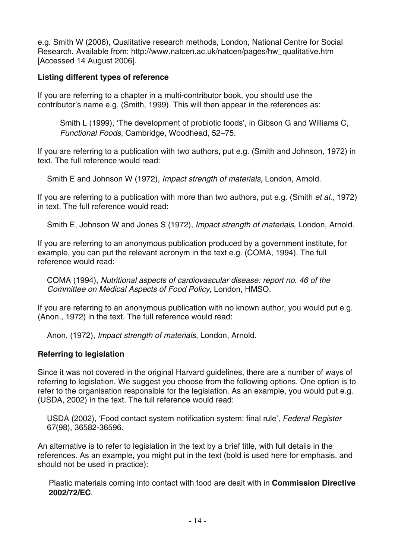e.g. Smith W (2006), Qualitative research methods, London, National Centre for Social Research. Available from: http://www.natcen.ac.uk/natcen/pages/hw\_qualitative.htm [Accessed 14 August 2006].

### **Listing different types of reference**

If you are referring to a chapter in a multi-contributor book, you should use the contributor's name e.g. (Smith, 1999). This will then appear in the references as:

 Smith L (1999), 'The development of probiotic foods', in Gibson G and Williams C, *Functional Foods*, Cambridge, Woodhead, 52−75.

If you are referring to a publication with two authors, put e.g. (Smith and Johnson, 1972) in text. The full reference would read:

Smith E and Johnson W (1972), *Impact strength of materials*, London, Arnold.

If you are referring to a publication with more than two authors, put e.g. (Smith *et al*., 1972) in text. The full reference would read:

Smith E, Johnson W and Jones S (1972), *Impact strength of materials*, London, Arnold.

If you are referring to an anonymous publication produced by a government institute, for example, you can put the relevant acronym in the text e.g. (COMA, 1994). The full reference would read:

COMA (1994), *Nutritional aspects of cardiovascular disease: report no. 46 of the Committee on Medical Aspects of Food Policy*, London, HMSO.

If you are referring to an anonymous publication with no known author, you would put e.g. (Anon., 1972) in the text. The full reference would read:

Anon. (1972), *Impact strength of materials*, London, Arnold.

## **Referring to legislation**

Since it was not covered in the original Harvard guidelines, there are a number of ways of referring to legislation. We suggest you choose from the following options. One option is to refer to the organisation responsible for the legislation. As an example, you would put e.g. (USDA, 2002) in the text. The full reference would read:

USDA (2002), 'Food contact system notification system: final rule', *Federal Register* 67(98), 36582-36596.

An alternative is to refer to legislation in the text by a brief title, with full details in the references. As an example, you might put in the text (bold is used here for emphasis, and should not be used in practice):

 Plastic materials coming into contact with food are dealt with in **Commission Directive 2002/72/EC**.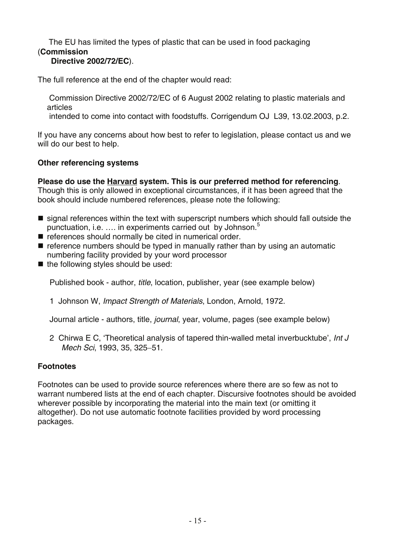#### The EU has limited the types of plastic that can be used in food packaging (**Commission Directive 2002/72/EC**).

The full reference at the end of the chapter would read:

 Commission Directive 2002/72/EC of 6 August 2002 relating to plastic materials and articles

intended to come into contact with foodstuffs. Corrigendum OJ L39, 13.02.2003, p.2.

If you have any concerns about how best to refer to legislation, please contact us and we will do our best to help.

### **Other referencing systems**

**Please do use the Harvard system. This is our preferred method for referencing**. Though this is only allowed in exceptional circumstances, if it has been agreed that the

book should include numbered references, please note the following:

- **Solut** signal references within the text with superscript numbers which should fall outside the punctuation, i.e. .... in experiments carried out by Johnson.<sup>5</sup>
- $\blacksquare$  references should normally be cited in numerical order.
- $\blacksquare$  reference numbers should be typed in manually rather than by using an automatic numbering facility provided by your word processor
- $\blacksquare$  the following styles should be used:

Published book - author, *title*, location, publisher, year (see example below)

1 Johnson W, *Impact Strength of Materials*, London, Arnold, 1972.

Journal article - authors, title, *journal*, year, volume, pages (see example below)

2 Chirwa E C, 'Theoretical analysis of tapered thin-walled metal inverbucktube', *Int J Mech Sci*, 1993, 35, 325−51.

### **Footnotes**

Footnotes can be used to provide source references where there are so few as not to warrant numbered lists at the end of each chapter. Discursive footnotes should be avoided wherever possible by incorporating the material into the main text (or omitting it altogether). Do not use automatic footnote facilities provided by word processing packages.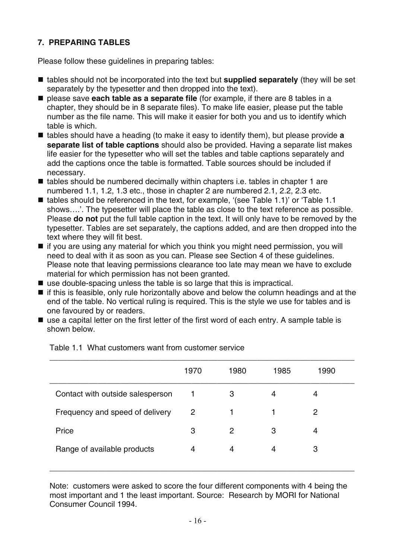## <span id="page-15-0"></span>**7. PREPARING TABLES**

Please follow these guidelines in preparing tables:

- tables should not be incorporated into the text but **supplied separately** (they will be set separately by the typesetter and then dropped into the text).
- please save **each table as a separate file** (for example, if there are 8 tables in a chapter, they should be in 8 separate files). To make life easier, please put the table number as the file name. This will make it easier for both you and us to identify which table is which.
- tables should have a heading (to make it easy to identify them), but please provide **a separate list of table captions** should also be provided. Having a separate list makes life easier for the typesetter who will set the tables and table captions separately and add the captions once the table is formatted. Table sources should be included if necessary.
- $\blacksquare$  tables should be numbered decimally within chapters i.e. tables in chapter 1 are numbered 1.1, 1.2, 1.3 etc., those in chapter 2 are numbered 2.1, 2.2, 2.3 etc.
- tables should be referenced in the text, for example, '(see Table 1.1)' or 'Table 1.1 shows….'. The typesetter will place the table as close to the text reference as possible. Please **do not** put the full table caption in the text. It will only have to be removed by the typesetter. Tables are set separately, the captions added, and are then dropped into the text where they will fit best.
- if you are using any material for which you think you might need permission, you will need to deal with it as soon as you can. Please see Section 4 of these guidelines. Please note that leaving permissions clearance too late may mean we have to exclude material for which permission has not been granted.
- use double-spacing unless the table is so large that this is impractical.
- if this is feasible, only rule horizontally above and below the column headings and at the end of the table. No vertical ruling is required. This is the style we use for tables and is one favoured by or readers.
- use a capital letter on the first letter of the first word of each entry. A sample table is shown below.

|                                  | 1970           | 1980 | 1985 | 1990 |
|----------------------------------|----------------|------|------|------|
| Contact with outside salesperson |                | 3    | 4    | 4    |
| Frequency and speed of delivery  | $\overline{2}$ |      |      | 2    |
| Price                            | 3              | 2    | 3    | 4    |
| Range of available products      | 4              | 4    | 4    | 3    |
|                                  |                |      |      |      |

Table 1.1 What customers want from customer service

Note: customers were asked to score the four different components with 4 being the most important and 1 the least important. Source: Research by MORI for National Consumer Council 1994.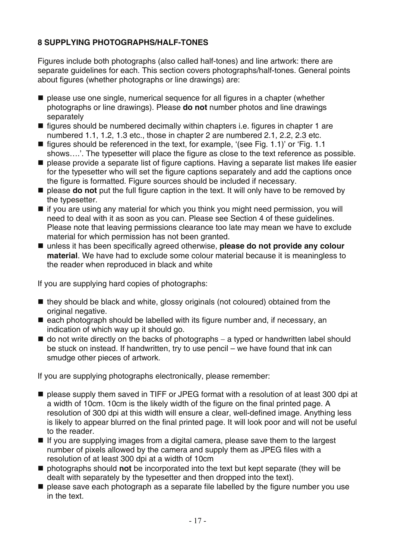## **8 SUPPLYING PHOTOGRAPHS/HALF-TONES**

Figures include both photographs (also called half-tones) and line artwork: there are separate guidelines for each. This section covers photographs/half-tones. General points about figures (whether photographs or line drawings) are:

- $\blacksquare$  please use one single, numerical sequence for all figures in a chapter (whether photographs or line drawings). Please **do not** number photos and line drawings separately
- $\blacksquare$  figures should be numbered decimally within chapters i.e. figures in chapter 1 are numbered 1.1, 1.2, 1.3 etc., those in chapter 2 are numbered 2.1, 2.2, 2.3 etc.
- $\blacksquare$  figures should be referenced in the text, for example, '(see Fig. 1.1)' or 'Fig. 1.1 shows….'. The typesetter will place the figure as close to the text reference as possible.
- **P** please provide a separate list of figure captions. Having a separate list makes life easier for the typesetter who will set the figure captions separately and add the captions once the figure is formatted. Figure sources should be included if necessary.
- $\blacksquare$  please **do not** put the full figure caption in the text. It will only have to be removed by the typesetter.
- $\blacksquare$  if you are using any material for which you think you might need permission, you will need to deal with it as soon as you can. Please see Section 4 of these guidelines. Please note that leaving permissions clearance too late may mean we have to exclude material for which permission has not been granted.
- unless it has been specifically agreed otherwise, **please do not provide any colour material**. We have had to exclude some colour material because it is meaningless to the reader when reproduced in black and white

If you are supplying hard copies of photographs:

- $\blacksquare$  they should be black and white, glossy originals (not coloured) obtained from the original negative.
- $\blacksquare$  each photograph should be labelled with its figure number and, if necessary, an indication of which way up it should go.
- do not write directly on the backs of photographs a typed or handwritten label should be stuck on instead. If handwritten, try to use pencil – we have found that ink can smudge other pieces of artwork.

If you are supplying photographs electronically, please remember:

- please supply them saved in TIFF or JPEG format with a resolution of at least 300 dpi at a width of 10cm. 10cm is the likely width of the figure on the final printed page. A resolution of 300 dpi at this width will ensure a clear, well-defined image. Anything less is likely to appear blurred on the final printed page. It will look poor and will not be useful to the reader.
- $\blacksquare$  If you are supplying images from a digital camera, please save them to the largest number of pixels allowed by the camera and supply them as JPEG files with a resolution of at least 300 dpi at a width of 10cm
- photographs should **not** be incorporated into the text but kept separate (they will be dealt with separately by the typesetter and then dropped into the text).
- **P** please save each photograph as a separate file labelled by the figure number you use in the text.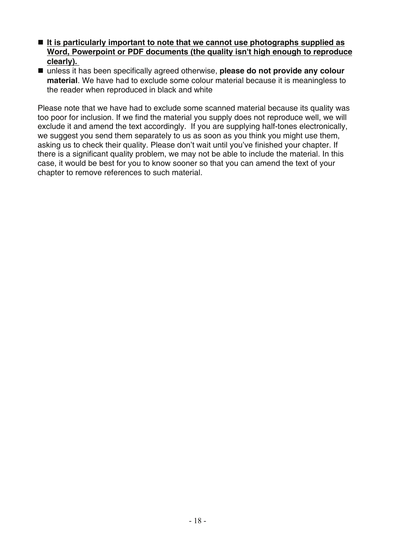- It is particularly important to note that we cannot use photographs supplied as **Word, Powerpoint or PDF documents (the quality isn't high enough to reproduce clearly).**
- unless it has been specifically agreed otherwise, **please do not provide any colour material**. We have had to exclude some colour material because it is meaningless to the reader when reproduced in black and white

Please note that we have had to exclude some scanned material because its quality was too poor for inclusion. If we find the material you supply does not reproduce well, we will exclude it and amend the text accordingly. If you are supplying half-tones electronically, we suggest you send them separately to us as soon as you think you might use them, asking us to check their quality. Please don't wait until you've finished your chapter. If there is a significant quality problem, we may not be able to include the material. In this case, it would be best for you to know sooner so that you can amend the text of your chapter to remove references to such material.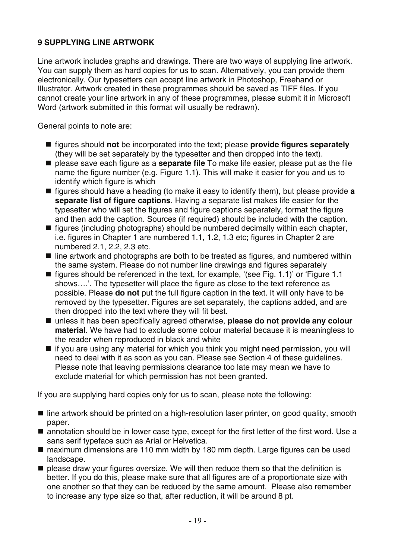## <span id="page-18-0"></span>**9 SUPPLYING LINE ARTWORK**

Line artwork includes graphs and drawings. There are two ways of supplying line artwork. You can supply them as hard copies for us to scan. Alternatively, you can provide them electronically. Our typesetters can accept line artwork in Photoshop, Freehand or Illustrator. Artwork created in these programmes should be saved as TIFF files. If you cannot create your line artwork in any of these programmes, please submit it in Microsoft Word (artwork submitted in this format will usually be redrawn).

General points to note are:

- figures should **not** be incorporated into the text; please **provide figures separately** (they will be set separately by the typesetter and then dropped into the text).
- please save each figure as a **separate file** To make life easier, please put as the file name the figure number (e.g. Figure 1.1). This will make it easier for you and us to identify which figure is which
- figures should have a heading (to make it easy to identify them), but please provide **a separate list of figure captions**. Having a separate list makes life easier for the typesetter who will set the figures and figure captions separately, format the figure and then add the caption. Sources (if required) should be included with the caption.
- $\blacksquare$  figures (including photographs) should be numbered decimally within each chapter, i.e. figures in Chapter 1 are numbered 1.1, 1.2, 1.3 etc; figures in Chapter 2 are numbered 2.1, 2.2, 2.3 etc.
- line artwork and photographs are both to be treated as figures, and numbered within the same system. Please do not number line drawings and figures separately
- $\blacksquare$  figures should be referenced in the text, for example, '(see Fig. 1.1)' or 'Figure 1.1 shows….'. The typesetter will place the figure as close to the text reference as possible. Please **do not** put the full figure caption in the text. It will only have to be removed by the typesetter. Figures are set separately, the captions added, and are then dropped into the text where they will fit best.
- unless it has been specifically agreed otherwise, **please do not provide any colour material**. We have had to exclude some colour material because it is meaningless to the reader when reproduced in black and white
- $\blacksquare$  if you are using any material for which you think you might need permission, you will need to deal with it as soon as you can. Please see Section 4 of these guidelines. Please note that leaving permissions clearance too late may mean we have to exclude material for which permission has not been granted.

If you are supplying hard copies only for us to scan, please note the following:

- line artwork should be printed on a high-resolution laser printer, on good quality, smooth paper.
- annotation should be in lower case type, except for the first letter of the first word. Use a sans serif typeface such as Arial or Helvetica.
- maximum dimensions are 110 mm width by 180 mm depth. Large figures can be used landscape.
- $\blacksquare$  please draw your figures oversize. We will then reduce them so that the definition is better. If you do this, please make sure that all figures are of a proportionate size with one another so that they can be reduced by the same amount. Please also remember to increase any type size so that, after reduction, it will be around 8 pt.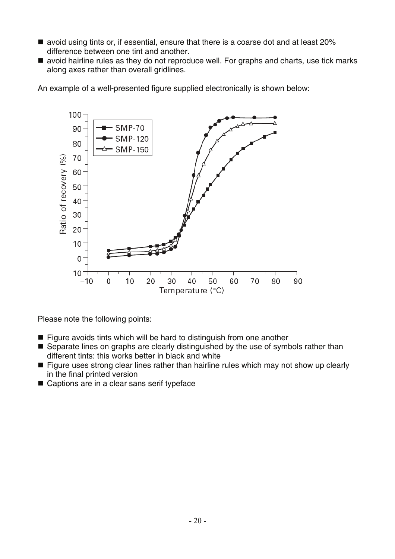- avoid using tints or, if essential, ensure that there is a coarse dot and at least 20% difference between one tint and another.
- avoid hairline rules as they do not reproduce well. For graphs and charts, use tick marks along axes rather than overall gridlines.

An example of a well-presented figure supplied electronically is shown below:



Please note the following points:

- $\blacksquare$  Figure avoids tints which will be hard to distinguish from one another
- Separate lines on graphs are clearly distinguished by the use of symbols rather than different tints: this works better in black and white
- Figure uses strong clear lines rather than hairline rules which may not show up clearly in the final printed version
- Captions are in a clear sans serif typeface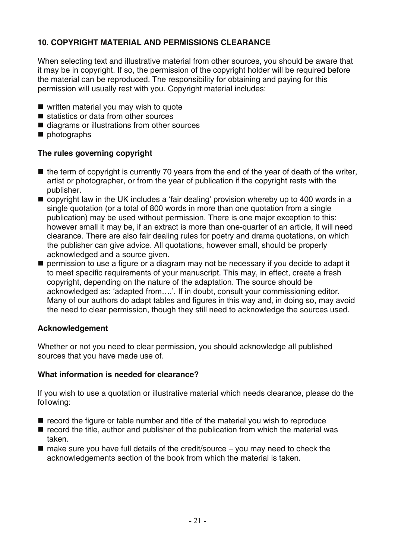## <span id="page-20-0"></span>**10. COPYRIGHT MATERIAL AND PERMISSIONS CLEARANCE**

When selecting text and illustrative material from other sources, you should be aware that it may be in copyright. If so, the permission of the copyright holder will be required before the material can be reproduced. The responsibility for obtaining and paying for this permission will usually rest with you. Copyright material includes:

- written material you may wish to quote
- statistics or data from other sources
- diagrams or illustrations from other sources
- **n** photographs

## **The rules governing copyright**

- $\blacksquare$  the term of copyright is currently 70 years from the end of the year of death of the writer, artist or photographer, or from the year of publication if the copyright rests with the publisher.
- copyright law in the UK includes a 'fair dealing' provision whereby up to 400 words in a single quotation (or a total of 800 words in more than one quotation from a single publication) may be used without permission. There is one major exception to this: however small it may be, if an extract is more than one-quarter of an article, it will need clearance. There are also fair dealing rules for poetry and drama quotations, on which the publisher can give advice. All quotations, however small, should be properly acknowledged and a source given.
- **Permission to use a figure or a diagram may not be necessary if you decide to adapt it** to meet specific requirements of your manuscript. This may, in effect, create a fresh copyright, depending on the nature of the adaptation. The source should be acknowledged as: 'adapted from….'. If in doubt, consult your commissioning editor. Many of our authors do adapt tables and figures in this way and, in doing so, may avoid the need to clear permission, though they still need to acknowledge the sources used.

## **Acknowledgement**

Whether or not you need to clear permission, you should acknowledge all published sources that you have made use of.

### **What information is needed for clearance?**

If you wish to use a quotation or illustrative material which needs clearance, please do the following:

- $\blacksquare$  record the figure or table number and title of the material you wish to reproduce
- $\blacksquare$  record the title, author and publisher of the publication from which the material was taken.
- make sure you have full details of the credit/source you may need to check the acknowledgements section of the book from which the material is taken.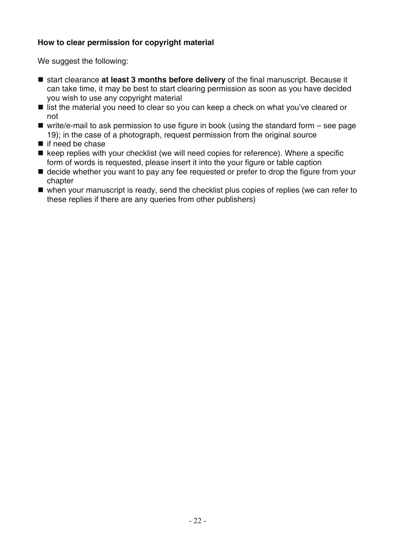## **How to clear permission for copyright material**

We suggest the following:

- start clearance **at least 3 months before delivery** of the final manuscript. Because it can take time, it may be best to start clearing permission as soon as you have decided you wish to use any copyright material
- list the material you need to clear so you can keep a check on what you've cleared or not
- $\blacksquare$  write/e-mail to ask permission to use figure in book (using the standard form  $-$  see page 19); in the case of a photograph, request permission from the original source
- $\blacksquare$  if need be chase
- $\blacksquare$  keep replies with your checklist (we will need copies for reference). Where a specific form of words is requested, please insert it into the your figure or table caption
- **E** decide whether you want to pay any fee requested or prefer to drop the figure from your chapter
- when your manuscript is ready, send the checklist plus copies of replies (we can refer to these replies if there are any queries from other publishers)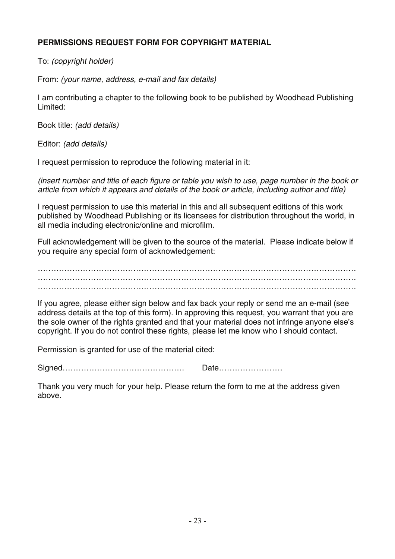## <span id="page-22-0"></span>**PERMISSIONS REQUEST FORM FOR COPYRIGHT MATERIAL**

To: *(copyright holder)* 

From: *(your name, address, e-mail and fax details)* 

I am contributing a chapter to the following book to be published by Woodhead Publishing Limited:

Book title: *(add details)* 

Editor: *(add details)* 

I request permission to reproduce the following material in it:

*(insert number and title of each figure or table you wish to use, page number in the book or article from which it appears and details of the book or article, including author and title)*

I request permission to use this material in this and all subsequent editions of this work published by Woodhead Publishing or its licensees for distribution throughout the world, in all media including electronic/online and microfilm.

Full acknowledgement will be given to the source of the material. Please indicate below if you require any special form of acknowledgement:

………………………………………………………………………………………………………… ………………………………………………………………………………………………………… …………………………………………………………………………………………………………

If you agree, please either sign below and fax back your reply or send me an e-mail (see address details at the top of this form). In approving this request, you warrant that you are the sole owner of the rights granted and that your material does not infringe anyone else's copyright. If you do not control these rights, please let me know who I should contact.

Permission is granted for use of the material cited:

Signed………………………………………. Date……………………

Thank you very much for your help. Please return the form to me at the address given above.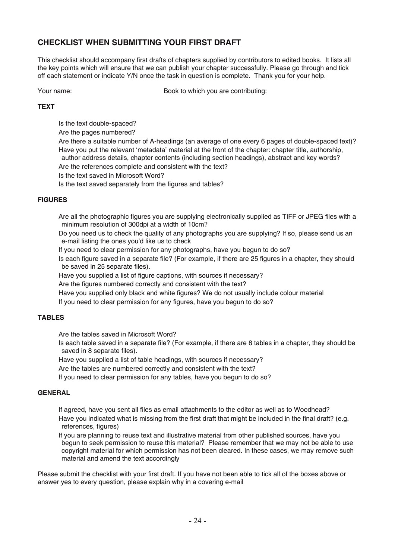### <span id="page-23-0"></span>**CHECKLIST WHEN SUBMITTING YOUR FIRST DRAFT**

This checklist should accompany first drafts of chapters supplied by contributors to edited books. It lists all the key points which will ensure that we can publish your chapter successfully. Please go through and tick off each statement or indicate Y/N once the task in question is complete. Thank you for your help.

Your name: Book to which you are contributing:

#### **TEXT**

Is the text double-spaced?

Are the pages numbered?

 Are there a suitable number of A-headings (an average of one every 6 pages of double-spaced text)? Have you put the relevant 'metadata' material at the front of the chapter: chapter title, authorship, author address details, chapter contents (including section headings), abstract and key words? Are the references complete and consistent with the text?

Is the text saved in Microsoft Word?

Is the text saved separately from the figures and tables?

#### **FIGURES**

 Are all the photographic figures you are supplying electronically supplied as TIFF or JPEG files with a minimum resolution of 300dpi at a width of 10cm?

 Do you need us to check the quality of any photographs you are supplying? If so, please send us an e-mail listing the ones you'd like us to check

If you need to clear permission for any photographs, have you begun to do so?

 Is each figure saved in a separate file? (For example, if there are 25 figures in a chapter, they should be saved in 25 separate files).

Have you supplied a list of figure captions, with sources if necessary?

Are the figures numbered correctly and consistent with the text?

Have you supplied only black and white figures? We do not usually include colour material

If you need to clear permission for any figures, have you begun to do so?

#### **TABLES**

Are the tables saved in Microsoft Word?

 Is each table saved in a separate file? (For example, if there are 8 tables in a chapter, they should be saved in 8 separate files).

Have you supplied a list of table headings, with sources if necessary?

Are the tables are numbered correctly and consistent with the text?

If you need to clear permission for any tables, have you begun to do so?

#### **GENERAL**

 If agreed, have you sent all files as email attachments to the editor as well as to Woodhead? Have you indicated what is missing from the first draft that might be included in the final draft? (e.g. references, figures)

 If you are planning to reuse text and illustrative material from other published sources, have you begun to seek permission to reuse this material? Please remember that we may not be able to use copyright material for which permission has not been cleared. In these cases, we may remove such material and amend the text accordingly

Please submit the checklist with your first draft. If you have not been able to tick all of the boxes above or answer yes to every question, please explain why in a covering e-mail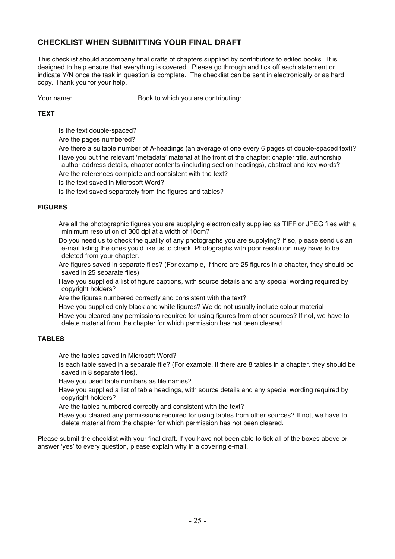### <span id="page-24-0"></span>**CHECKLIST WHEN SUBMITTING YOUR FINAL DRAFT**

This checklist should accompany final drafts of chapters supplied by contributors to edited books. It is designed to help ensure that everything is covered. Please go through and tick off each statement or indicate Y/N once the task in question is complete. The checklist can be sent in electronically or as hard copy. Thank you for your help.

Your name: Book to which you are contributing:

#### **TEXT**

- Is the text double-spaced?
- Are the pages numbered?
- Are there a suitable number of A-headings (an average of one every 6 pages of double-spaced text)? Have you put the relevant 'metadata' material at the front of the chapter: chapter title, authorship, author address details, chapter contents (including section headings), abstract and key words? Are the references complete and consistent with the text?
- 
- Is the text saved in Microsoft Word?
- Is the text saved separately from the figures and tables?

#### **FIGURES**

 Are all the photographic figures you are supplying electronically supplied as TIFF or JPEG files with a minimum resolution of 300 dpi at a width of 10cm?

- Do you need us to check the quality of any photographs you are supplying? If so, please send us an e-mail listing the ones you'd like us to check. Photographs with poor resolution may have to be deleted from your chapter.
- Are figures saved in separate files? (For example, if there are 25 figures in a chapter, they should be saved in 25 separate files).
- Have you supplied a list of figure captions, with source details and any special wording required by copyright holders?
- Are the figures numbered correctly and consistent with the text?
- Have you supplied only black and white figures? We do not usually include colour material
- Have you cleared any permissions required for using figures from other sources? If not, we have to delete material from the chapter for which permission has not been cleared.

#### **TABLES**

Are the tables saved in Microsoft Word?

- Is each table saved in a separate file? (For example, if there are 8 tables in a chapter, they should be saved in 8 separate files).
- Have you used table numbers as file names?
- Have you supplied a list of table headings, with source details and any special wording required by copyright holders?
- Are the tables numbered correctly and consistent with the text?
- Have you cleared any permissions required for using tables from other sources? If not, we have to delete material from the chapter for which permission has not been cleared.

Please submit the checklist with your final draft. If you have not been able to tick all of the boxes above or answer 'yes' to every question, please explain why in a covering e-mail.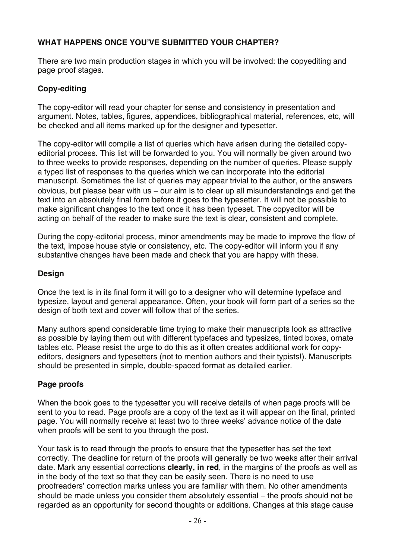## <span id="page-25-0"></span>**WHAT HAPPENS ONCE YOU'VE SUBMITTED YOUR CHAPTER?**

There are two main production stages in which you will be involved: the copyediting and page proof stages.

## **Copy-editing**

The copy-editor will read your chapter for sense and consistency in presentation and argument. Notes, tables, figures, appendices, bibliographical material, references, etc, will be checked and all items marked up for the designer and typesetter.

The copy-editor will compile a list of queries which have arisen during the detailed copyeditorial process. This list will be forwarded to you. You will normally be given around two to three weeks to provide responses, depending on the number of queries. Please supply a typed list of responses to the queries which we can incorporate into the editorial manuscript. Sometimes the list of queries may appear trivial to the author, or the answers obvious, but please bear with us − our aim is to clear up all misunderstandings and get the text into an absolutely final form before it goes to the typesetter. It will not be possible to make significant changes to the text once it has been typeset. The copyeditor will be acting on behalf of the reader to make sure the text is clear, consistent and complete.

During the copy-editorial process, minor amendments may be made to improve the flow of the text, impose house style or consistency, etc. The copy-editor will inform you if any substantive changes have been made and check that you are happy with these.

### **Design**

Once the text is in its final form it will go to a designer who will determine typeface and typesize, layout and general appearance. Often, your book will form part of a series so the design of both text and cover will follow that of the series.

Many authors spend considerable time trying to make their manuscripts look as attractive as possible by laying them out with different typefaces and typesizes, tinted boxes, ornate tables etc. Please resist the urge to do this as it often creates additional work for copyeditors, designers and typesetters (not to mention authors and their typists!). Manuscripts should be presented in simple, double-spaced format as detailed earlier.

## **Page proofs**

When the book goes to the typesetter you will receive details of when page proofs will be sent to you to read. Page proofs are a copy of the text as it will appear on the final, printed page. You will normally receive at least two to three weeks' advance notice of the date when proofs will be sent to you through the post.

Your task is to read through the proofs to ensure that the typesetter has set the text correctly. The deadline for return of the proofs will generally be two weeks after their arrival date. Mark any essential corrections **clearly, in red**, in the margins of the proofs as well as in the body of the text so that they can be easily seen. There is no need to use proofreaders' correction marks unless you are familiar with them. No other amendments should be made unless you consider them absolutely essential − the proofs should not be regarded as an opportunity for second thoughts or additions. Changes at this stage cause